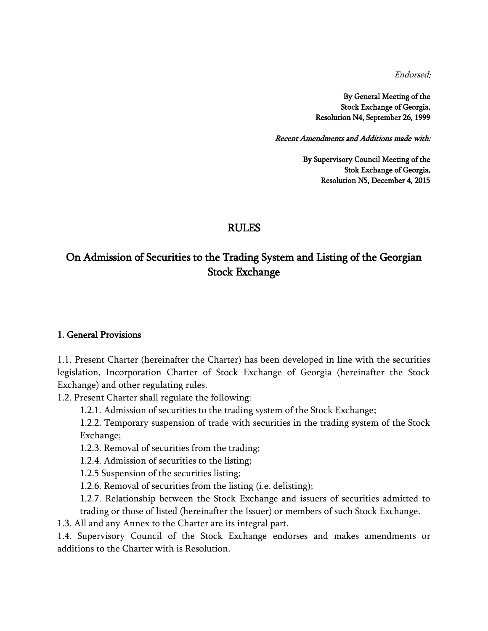Endorsed:

By General Meeting of the Stock Exchange of Georgia, Resolution N4, September 26, 1999

Recent Amendments and Additions made with:

By Supervisory Council Meeting of the Stok Exchange of Georgia, Resolution N5, December 4, 2015

## RULES

# On Admission of Securities to the Trading System and Listing of the Georgian Stock Exchange

### 1. General Provisions

1.1. Present Charter (hereinafter the Charter) has been developed in line with the securities legislation, Incorporation Charter of Stock Exchange of Georgia (hereinafter the Stock Exchange) and other regulating rules.

1.2. Present Charter shall regulate the following:

1.2.1. Admission of securities to the trading system of the Stock Exchange;

1.2.2. Temporary suspension of trade with securities in the trading system of the Stock Exchange;

1.2.3. Removal of securities from the trading;

1.2.4. Admission of securities to the listing;

1.2.5 Suspension of the securities listing;

1.2.6. Removal of securities from the listing (i.e. delisting);

1.2.7. Relationship between the Stock Exchange and issuers of securities admitted to trading or those of listed (hereinafter the Issuer) or members of such Stock Exchange.

1.3. All and any Annex to the Charter are its integral part.

1.4. Supervisory Council of the Stock Exchange endorses and makes amendments or additions to the Charter with is Resolution.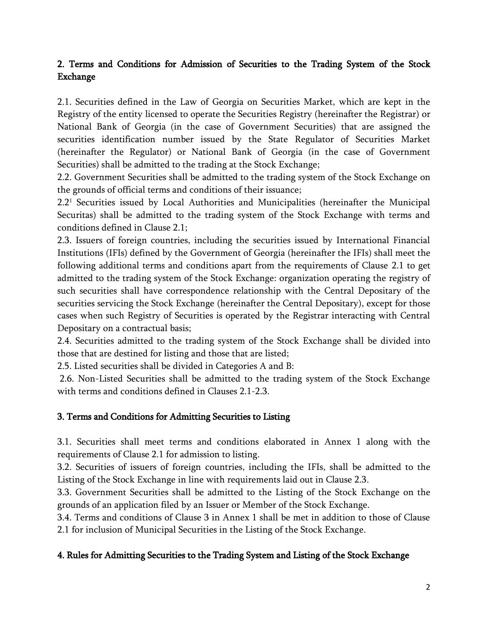## 2. Terms and Conditions for Admission of Securities to the Trading System of the Stock Exchange

2.1. Securities defined in the Law of Georgia on Securities Market, which are kept in the Registry of the entity licensed to operate the Securities Registry (hereinafter the Registrar) or National Bank of Georgia (in the case of Government Securities) that are assigned the securities identification number issued by the State Regulator of Securities Market (hereinafter the Regulator) or National Bank of Georgia (in the case of Government Securities) shall be admitted to the trading at the Stock Exchange;

2.2. Government Securities shall be admitted to the trading system of the Stock Exchange on the grounds of official terms and conditions of their issuance;

2.2<sup>1</sup> Securities issued by Local Authorities and Municipalities (hereinafter the Municipal Securitas) shall be admitted to the trading system of the Stock Exchange with terms and conditions defined in Clause 2.1;

2.3. Issuers of foreign countries, including the securities issued by International Financial Institutions (IFIs) defined by the Government of Georgia (hereinafter the IFIs) shall meet the following additional terms and conditions apart from the requirements of Clause 2.1 to get admitted to the trading system of the Stock Exchange: organization operating the registry of such securities shall have correspondence relationship with the Central Depositary of the securities servicing the Stock Exchange (hereinafter the Central Depositary), except for those cases when such Registry of Securities is operated by the Registrar interacting with Central Depositary on a contractual basis;

2.4. Securities admitted to the trading system of the Stock Exchange shall be divided into those that are destined for listing and those that are listed;

2.5. Listed securities shall be divided in Categories A and B:

2.6. Non-Listed Securities shall be admitted to the trading system of the Stock Exchange with terms and conditions defined in Clauses 2.1-2.3.

## 3. Terms and Conditions for Admitting Securities to Listing

3.1. Securities shall meet terms and conditions elaborated in Annex 1 along with the requirements of Clause 2.1 for admission to listing.

3.2. Securities of issuers of foreign countries, including the IFIs, shall be admitted to the Listing of the Stock Exchange in line with requirements laid out in Clause 2.3.

3.3. Government Securities shall be admitted to the Listing of the Stock Exchange on the grounds of an application filed by an Issuer or Member of the Stock Exchange.

3.4. Terms and conditions of Clause 3 in Annex 1 shall be met in addition to those of Clause 2.1 for inclusion of Municipal Securities in the Listing of the Stock Exchange.

## 4. Rules for Admitting Securities to the Trading System and Listing of the Stock Exchange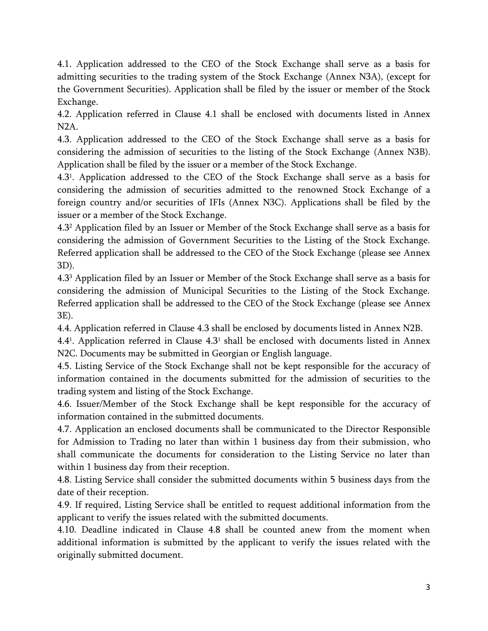4.1. Application addressed to the CEO of the Stock Exchange shall serve as a basis for admitting securities to the trading system of the Stock Exchange (Annex N3A), (except for the Government Securities). Application shall be filed by the issuer or member of the Stock Exchange.

4.2. Application referred in Clause 4.1 shall be enclosed with documents listed in Annex N2A.

4.3. Application addressed to the CEO of the Stock Exchange shall serve as a basis for considering the admission of securities to the listing of the Stock Exchange (Annex N3B). Application shall be filed by the issuer or a member of the Stock Exchange.

4.3<sup>1</sup> . Application addressed to the CEO of the Stock Exchange shall serve as a basis for considering the admission of securities admitted to the renowned Stock Exchange of a foreign country and/or securities of IFIs (Annex N3C). Applications shall be filed by the issuer or a member of the Stock Exchange.

4.3<sup>2</sup> Application filed by an Issuer or Member of the Stock Exchange shall serve as a basis for considering the admission of Government Securities to the Listing of the Stock Exchange. Referred application shall be addressed to the CEO of the Stock Exchange (please see Annex 3D).

4.3<sup>3</sup> Application filed by an Issuer or Member of the Stock Exchange shall serve as a basis for considering the admission of Municipal Securities to the Listing of the Stock Exchange. Referred application shall be addressed to the CEO of the Stock Exchange (please see Annex 3E).

4.4. Application referred in Clause 4.3 shall be enclosed by documents listed in Annex N2B.

4.4<sup>1</sup>. Application referred in Clause 4.3<sup>1</sup> shall be enclosed with documents listed in Annex N2C. Documents may be submitted in Georgian or English language.

4.5. Listing Service of the Stock Exchange shall not be kept responsible for the accuracy of information contained in the documents submitted for the admission of securities to the trading system and listing of the Stock Exchange.

4.6. Issuer/Member of the Stock Exchange shall be kept responsible for the accuracy of information contained in the submitted documents.

4.7. Application an enclosed documents shall be communicated to the Director Responsible for Admission to Trading no later than within 1 business day from their submission, who shall communicate the documents for consideration to the Listing Service no later than within 1 business day from their reception.

4.8. Listing Service shall consider the submitted documents within 5 business days from the date of their reception.

4.9. If required, Listing Service shall be entitled to request additional information from the applicant to verify the issues related with the submitted documents.

4.10. Deadline indicated in Clause 4.8 shall be counted anew from the moment when additional information is submitted by the applicant to verify the issues related with the originally submitted document.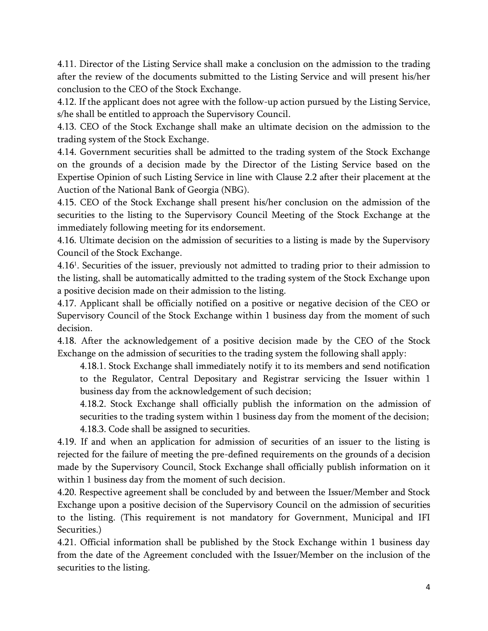4.11. Director of the Listing Service shall make a conclusion on the admission to the trading after the review of the documents submitted to the Listing Service and will present his/her conclusion to the CEO of the Stock Exchange.

4.12. If the applicant does not agree with the follow-up action pursued by the Listing Service, s/he shall be entitled to approach the Supervisory Council.

4.13. CEO of the Stock Exchange shall make an ultimate decision on the admission to the trading system of the Stock Exchange.

4.14. Government securities shall be admitted to the trading system of the Stock Exchange on the grounds of a decision made by the Director of the Listing Service based on the Expertise Opinion of such Listing Service in line with Clause 2.2 after their placement at the Auction of the National Bank of Georgia (NBG).

4.15. CEO of the Stock Exchange shall present his/her conclusion on the admission of the securities to the listing to the Supervisory Council Meeting of the Stock Exchange at the immediately following meeting for its endorsement.

4.16. Ultimate decision on the admission of securities to a listing is made by the Supervisory Council of the Stock Exchange.

4.16<sup>1</sup> . Securities of the issuer, previously not admitted to trading prior to their admission to the listing, shall be automatically admitted to the trading system of the Stock Exchange upon a positive decision made on their admission to the listing.

4.17. Applicant shall be officially notified on a positive or negative decision of the CEO or Supervisory Council of the Stock Exchange within 1 business day from the moment of such decision.

4.18. After the acknowledgement of a positive decision made by the CEO of the Stock Exchange on the admission of securities to the trading system the following shall apply:

4.18.1. Stock Exchange shall immediately notify it to its members and send notification to the Regulator, Central Depositary and Registrar servicing the Issuer within 1 business day from the acknowledgement of such decision;

4.18.2. Stock Exchange shall officially publish the information on the admission of securities to the trading system within 1 business day from the moment of the decision; 4.18.3. Code shall be assigned to securities.

4.19. If and when an application for admission of securities of an issuer to the listing is rejected for the failure of meeting the pre-defined requirements on the grounds of a decision made by the Supervisory Council, Stock Exchange shall officially publish information on it within 1 business day from the moment of such decision.

4.20. Respective agreement shall be concluded by and between the Issuer/Member and Stock Exchange upon a positive decision of the Supervisory Council on the admission of securities to the listing. (This requirement is not mandatory for Government, Municipal and IFI Securities.)

4.21. Official information shall be published by the Stock Exchange within 1 business day from the date of the Agreement concluded with the Issuer/Member on the inclusion of the securities to the listing.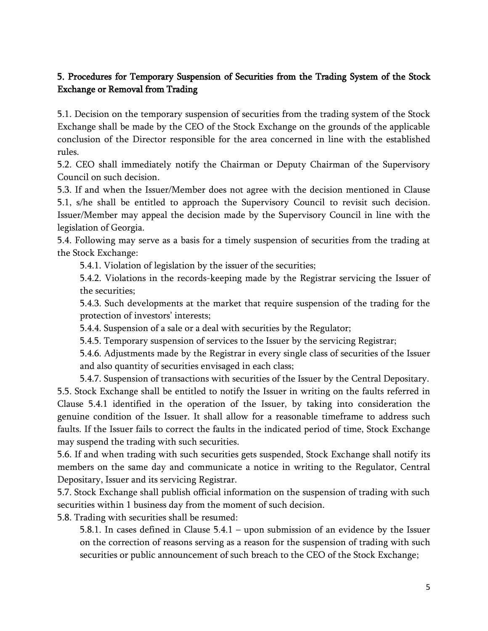## 5. Procedures for Temporary Suspension of Securities from the Trading System of the Stock Exchange or Removal from Trading

5.1. Decision on the temporary suspension of securities from the trading system of the Stock Exchange shall be made by the CEO of the Stock Exchange on the grounds of the applicable conclusion of the Director responsible for the area concerned in line with the established rules.

5.2. CEO shall immediately notify the Chairman or Deputy Chairman of the Supervisory Council on such decision.

5.3. If and when the Issuer/Member does not agree with the decision mentioned in Clause 5.1, s/he shall be entitled to approach the Supervisory Council to revisit such decision. Issuer/Member may appeal the decision made by the Supervisory Council in line with the legislation of Georgia.

5.4. Following may serve as a basis for a timely suspension of securities from the trading at the Stock Exchange:

5.4.1. Violation of legislation by the issuer of the securities;

5.4.2. Violations in the records-keeping made by the Registrar servicing the Issuer of the securities;

5.4.3. Such developments at the market that require suspension of the trading for the protection of investors' interests;

5.4.4. Suspension of a sale or a deal with securities by the Regulator;

5.4.5. Temporary suspension of services to the Issuer by the servicing Registrar;

5.4.6. Adjustments made by the Registrar in every single class of securities of the Issuer and also quantity of securities envisaged in each class;

5.4.7. Suspension of transactions with securities of the Issuer by the Central Depositary. 5.5. Stock Exchange shall be entitled to notify the Issuer in writing on the faults referred in Clause 5.4.1 identified in the operation of the Issuer, by taking into consideration the genuine condition of the Issuer. It shall allow for a reasonable timeframe to address such faults. If the Issuer fails to correct the faults in the indicated period of time, Stock Exchange may suspend the trading with such securities.

5.6. If and when trading with such securities gets suspended, Stock Exchange shall notify its members on the same day and communicate a notice in writing to the Regulator, Central Depositary, Issuer and its servicing Registrar.

5.7. Stock Exchange shall publish official information on the suspension of trading with such securities within 1 business day from the moment of such decision.

5.8. Trading with securities shall be resumed:

5.8.1. In cases defined in Clause 5.4.1 – upon submission of an evidence by the Issuer on the correction of reasons serving as a reason for the suspension of trading with such securities or public announcement of such breach to the CEO of the Stock Exchange;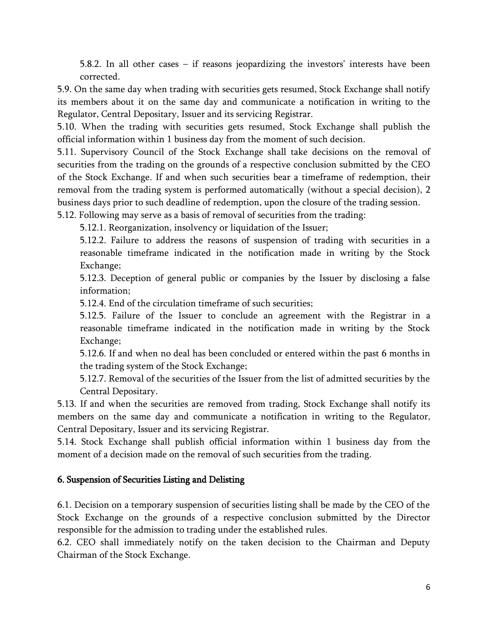5.8.2. In all other cases – if reasons jeopardizing the investors' interests have been corrected.

5.9. On the same day when trading with securities gets resumed, Stock Exchange shall notify its members about it on the same day and communicate a notification in writing to the Regulator, Central Depositary, Issuer and its servicing Registrar.

5.10. When the trading with securities gets resumed, Stock Exchange shall publish the official information within 1 business day from the moment of such decision.

5.11. Supervisory Council of the Stock Exchange shall take decisions on the removal of securities from the trading on the grounds of a respective conclusion submitted by the CEO of the Stock Exchange. If and when such securities bear a timeframe of redemption, their removal from the trading system is performed automatically (without a special decision), 2 business days prior to such deadline of redemption, upon the closure of the trading session.

5.12. Following may serve as a basis of removal of securities from the trading:

5.12.1. Reorganization, insolvency or liquidation of the Issuer;

5.12.2. Failure to address the reasons of suspension of trading with securities in a reasonable timeframe indicated in the notification made in writing by the Stock Exchange;

5.12.3. Deception of general public or companies by the Issuer by disclosing a false information;

5.12.4. End of the circulation timeframe of such securities;

5.12.5. Failure of the Issuer to conclude an agreement with the Registrar in a reasonable timeframe indicated in the notification made in writing by the Stock Exchange;

5.12.6. If and when no deal has been concluded or entered within the past 6 months in the trading system of the Stock Exchange;

5.12.7. Removal of the securities of the Issuer from the list of admitted securities by the Central Depositary.

5.13. If and when the securities are removed from trading, Stock Exchange shall notify its members on the same day and communicate a notification in writing to the Regulator, Central Depositary, Issuer and its servicing Registrar.

5.14. Stock Exchange shall publish official information within 1 business day from the moment of a decision made on the removal of such securities from the trading.

### 6. Suspension of Securities Listing and Delisting

6.1. Decision on a temporary suspension of securities listing shall be made by the CEO of the Stock Exchange on the grounds of a respective conclusion submitted by the Director responsible for the admission to trading under the established rules.

6.2. CEO shall immediately notify on the taken decision to the Chairman and Deputy Chairman of the Stock Exchange.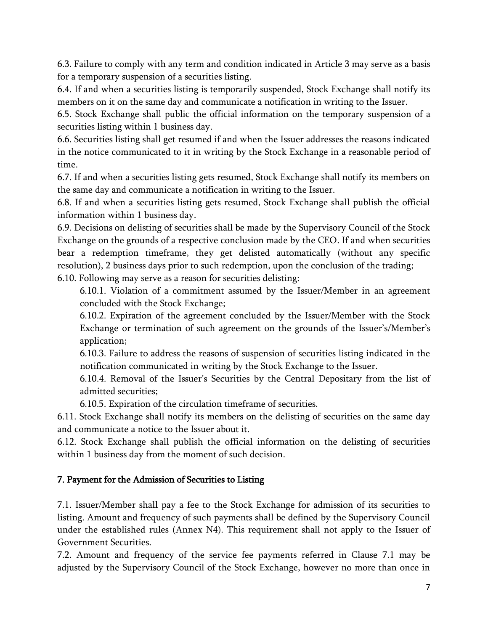6.3. Failure to comply with any term and condition indicated in Article 3 may serve as a basis for a temporary suspension of a securities listing.

6.4. If and when a securities listing is temporarily suspended, Stock Exchange shall notify its members on it on the same day and communicate a notification in writing to the Issuer.

6.5. Stock Exchange shall public the official information on the temporary suspension of a securities listing within 1 business day.

6.6. Securities listing shall get resumed if and when the Issuer addresses the reasons indicated in the notice communicated to it in writing by the Stock Exchange in a reasonable period of time.

6.7. If and when a securities listing gets resumed, Stock Exchange shall notify its members on the same day and communicate a notification in writing to the Issuer.

6.8. If and when a securities listing gets resumed, Stock Exchange shall publish the official information within 1 business day.

6.9. Decisions on delisting of securities shall be made by the Supervisory Council of the Stock Exchange on the grounds of a respective conclusion made by the CEO. If and when securities bear a redemption timeframe, they get delisted automatically (without any specific resolution), 2 business days prior to such redemption, upon the conclusion of the trading;

6.10. Following may serve as a reason for securities delisting:

6.10.1. Violation of a commitment assumed by the Issuer/Member in an agreement concluded with the Stock Exchange;

6.10.2. Expiration of the agreement concluded by the Issuer/Member with the Stock Exchange or termination of such agreement on the grounds of the Issuer's/Member's application;

6.10.3. Failure to address the reasons of suspension of securities listing indicated in the notification communicated in writing by the Stock Exchange to the Issuer.

6.10.4. Removal of the Issuer's Securities by the Central Depositary from the list of admitted securities;

6.10.5. Expiration of the circulation timeframe of securities.

6.11. Stock Exchange shall notify its members on the delisting of securities on the same day and communicate a notice to the Issuer about it.

6.12. Stock Exchange shall publish the official information on the delisting of securities within 1 business day from the moment of such decision.

## 7. Payment for the Admission of Securities to Listing

7.1. Issuer/Member shall pay a fee to the Stock Exchange for admission of its securities to listing. Amount and frequency of such payments shall be defined by the Supervisory Council under the established rules (Annex N4). This requirement shall not apply to the Issuer of Government Securities.

7.2. Amount and frequency of the service fee payments referred in Clause 7.1 may be adjusted by the Supervisory Council of the Stock Exchange, however no more than once in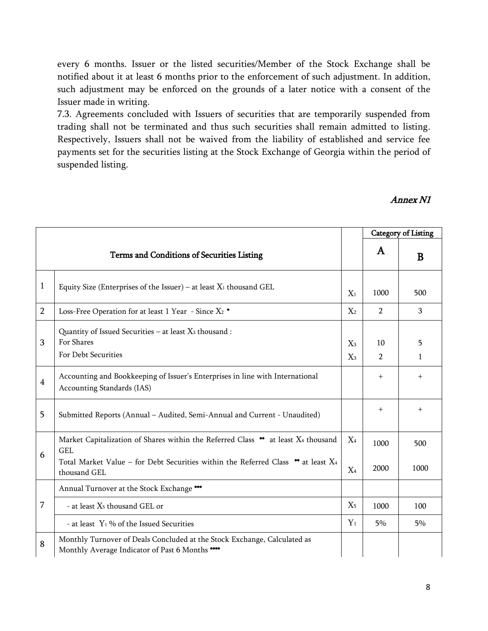every 6 months. Issuer or the listed securities/Member of the Stock Exchange shall be notified about it at least 6 months prior to the enforcement of such adjustment. In addition, such adjustment may be enforced on the grounds of a later notice with a consent of the Issuer made in writing.

7.3. Agreements concluded with Issuers of securities that are temporarily suspended from trading shall not be terminated and thus such securities shall remain admitted to listing. Respectively, Issuers shall not be waived from the liability of established and service fee payments set for the securities listing at the Stock Exchange of Georgia within the period of suspended listing.

### Annex N1

|                |                                                                                                                                                                                                           |                | <b>Category of Listing</b> |                   |
|----------------|-----------------------------------------------------------------------------------------------------------------------------------------------------------------------------------------------------------|----------------|----------------------------|-------------------|
|                | Terms and Conditions of Securities Listing                                                                                                                                                                |                | A                          | B                 |
| $\mathbf{1}$   | Equity Size (Enterprises of the Issuer) – at least $X_1$ thousand GEL                                                                                                                                     | $X_1$          | 1000                       | 500               |
| $\overline{2}$ | Loss-Free Operation for at least 1 Year - Since $X_2$ *                                                                                                                                                   | $X_2$          | $\overline{2}$             | 3                 |
| 3              | Quantity of Issued Securities - at least X <sub>3</sub> thousand :<br>For Shares<br>For Debt Securities                                                                                                   | $X_3$<br>$X_3$ | 10<br>$\overline{2}$       | 5<br>$\mathbf{1}$ |
| $\overline{4}$ | Accounting and Bookkeeping of Issuer's Enterprises in line with International<br>Accounting Standards (IAS)                                                                                               |                | $+$                        | $^{+}$            |
| 5              | Submitted Reports (Annual - Audited, Semi-Annual and Current - Unaudited)                                                                                                                                 |                | $\ddot{}$                  | $^{+}$            |
| 6              | Market Capitalization of Shares within the Referred Class ** at least X4 thousand<br><b>GEL</b><br>Total Market Value – for Debt Securities within the Referred Class $**$ at least $X_4$<br>thousand GEL | $X_4$<br>$X_4$ | 1000<br>2000               | 500<br>1000       |
|                | Annual Turnover at the Stock Exchange ***                                                                                                                                                                 |                |                            |                   |
| 7              | - at least X <sub>5</sub> thousand GEL or                                                                                                                                                                 | X <sub>5</sub> | 1000                       | 100               |
|                | - at least $Y_1$ % of the Issued Securities                                                                                                                                                               | $Y_1$          | 5%                         | 5%                |
| 8              | Monthly Turnover of Deals Concluded at the Stock Exchange, Calculated as<br>Monthly Average Indicator of Past 6 Months ****                                                                               |                |                            |                   |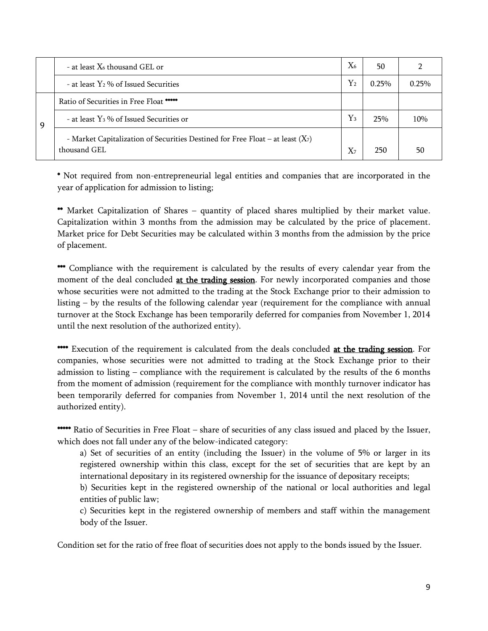|   | - at least $X_6$ thousand GEL or                                                 | $X_6$       | 50    |          |
|---|----------------------------------------------------------------------------------|-------------|-------|----------|
|   | - at least Y <sub>2</sub> % of Issued Securities                                 | ${\rm Y_2}$ | 0.25% | $0.25\%$ |
|   | Ratio of Securities in Free Float *****                                          |             |       |          |
| 9 | - at least $Y_3$ % of Issued Securities or                                       | $Y_3$       | 25%   | 10%      |
|   | - Market Capitalization of Securities Destined for Free Float – at least $(X_7)$ |             |       |          |
|   | thousand GEL                                                                     | $X_7$       | 250   | 50       |

\* Not required from non-entrepreneurial legal entities and companies that are incorporated in the year of application for admission to listing;

\*\* Market Capitalization of Shares – quantity of placed shares multiplied by their market value. Capitalization within 3 months from the admission may be calculated by the price of placement. Market price for Debt Securities may be calculated within 3 months from the admission by the price of placement.

\*\*\*\*\*\* Compliance with the requirement is calculated by the results of every calendar year from the moment of the deal concluded at the trading session. For newly incorporated companies and those whose securities were not admitted to the trading at the Stock Exchange prior to their admission to listing – by the results of the following calendar year (requirement for the compliance with annual turnover at the Stock Exchange has been temporarily deferred for companies from November 1, 2014 until the next resolution of the authorized entity).

\*\*\*\* Execution of the requirement is calculated from the deals concluded at the trading session. For companies, whose securities were not admitted to trading at the Stock Exchange prior to their admission to listing – compliance with the requirement is calculated by the results of the 6 months from the moment of admission (requirement for the compliance with monthly turnover indicator has been temporarily deferred for companies from November 1, 2014 until the next resolution of the authorized entity).

\*\*\*\*\*\* Ratio of Securities in Free Float – share of securities of any class issued and placed by the Issuer, which does not fall under any of the below-indicated category:

a) Set of securities of an entity (including the Issuer) in the volume of 5% or larger in its registered ownership within this class, except for the set of securities that are kept by an international depositary in its registered ownership for the issuance of depositary receipts;

b) Securities kept in the registered ownership of the national or local authorities and legal entities of public law;

c) Securities kept in the registered ownership of members and staff within the management body of the Issuer.

Condition set for the ratio of free float of securities does not apply to the bonds issued by the Issuer.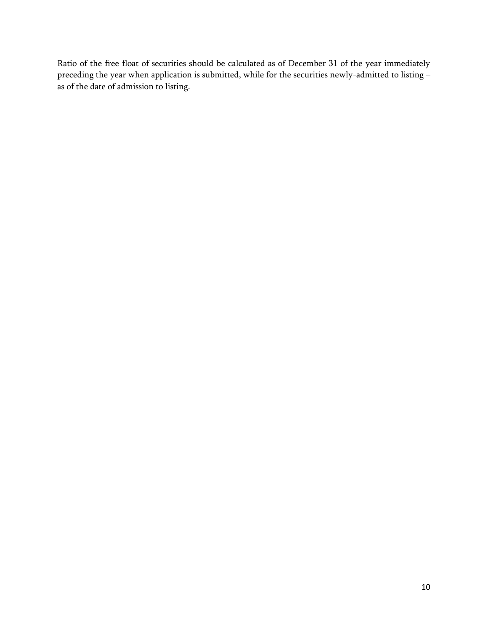Ratio of the free float of securities should be calculated as of December 31 of the year immediately preceding the year when application is submitted, while for the securities newly-admitted to listing – as of the date of admission to listing.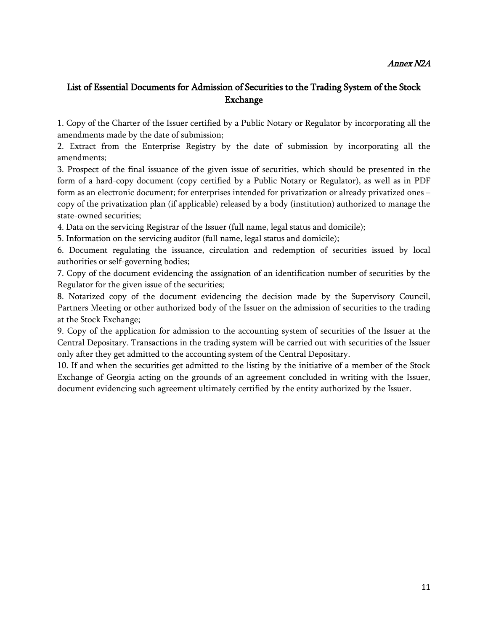#### Annex N2A

## List of Essential Documents for Admission of Securities to the Trading System of the Stock Exchange

1. Copy of the Charter of the Issuer certified by a Public Notary or Regulator by incorporating all the amendments made by the date of submission;

2. Extract from the Enterprise Registry by the date of submission by incorporating all the amendments;

3. Prospect of the final issuance of the given issue of securities, which should be presented in the form of a hard-copy document (copy certified by a Public Notary or Regulator), as well as in PDF form as an electronic document; for enterprises intended for privatization or already privatized ones – copy of the privatization plan (if applicable) released by a body (institution) authorized to manage the state-owned securities;

4. Data on the servicing Registrar of the Issuer (full name, legal status and domicile);

5. Information on the servicing auditor (full name, legal status and domicile);

6. Document regulating the issuance, circulation and redemption of securities issued by local authorities or self-governing bodies;

7. Copy of the document evidencing the assignation of an identification number of securities by the Regulator for the given issue of the securities;

8. Notarized copy of the document evidencing the decision made by the Supervisory Council, Partners Meeting or other authorized body of the Issuer on the admission of securities to the trading at the Stock Exchange;

9. Copy of the application for admission to the accounting system of securities of the Issuer at the Central Depositary. Transactions in the trading system will be carried out with securities of the Issuer only after they get admitted to the accounting system of the Central Depositary.

10. If and when the securities get admitted to the listing by the initiative of a member of the Stock Exchange of Georgia acting on the grounds of an agreement concluded in writing with the Issuer, document evidencing such agreement ultimately certified by the entity authorized by the Issuer.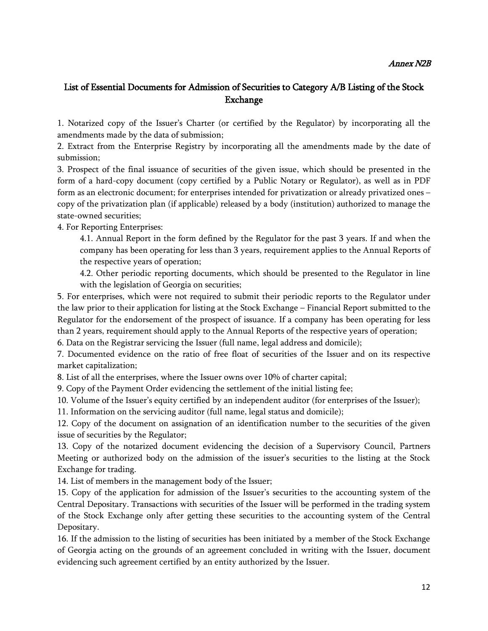#### Annex N2B

## List of Essential Documents for Admission of Securities to Category A/B Listing of the Stock Exchange

1. Notarized copy of the Issuer's Charter (or certified by the Regulator) by incorporating all the amendments made by the data of submission;

2. Extract from the Enterprise Registry by incorporating all the amendments made by the date of submission;

3. Prospect of the final issuance of securities of the given issue, which should be presented in the form of a hard-copy document (copy certified by a Public Notary or Regulator), as well as in PDF form as an electronic document; for enterprises intended for privatization or already privatized ones – copy of the privatization plan (if applicable) released by a body (institution) authorized to manage the state-owned securities;

4. For Reporting Enterprises:

4.1. Annual Report in the form defined by the Regulator for the past 3 years. If and when the company has been operating for less than 3 years, requirement applies to the Annual Reports of the respective years of operation;

4.2. Other periodic reporting documents, which should be presented to the Regulator in line with the legislation of Georgia on securities;

5. For enterprises, which were not required to submit their periodic reports to the Regulator under the law prior to their application for listing at the Stock Exchange – Financial Report submitted to the Regulator for the endorsement of the prospect of issuance. If a company has been operating for less than 2 years, requirement should apply to the Annual Reports of the respective years of operation;

6. Data on the Registrar servicing the Issuer (full name, legal address and domicile);

7. Documented evidence on the ratio of free float of securities of the Issuer and on its respective market capitalization;

8. List of all the enterprises, where the Issuer owns over 10% of charter capital;

9. Copy of the Payment Order evidencing the settlement of the initial listing fee;

10. Volume of the Issuer's equity certified by an independent auditor (for enterprises of the Issuer);

11. Information on the servicing auditor (full name, legal status and domicile);

12. Copy of the document on assignation of an identification number to the securities of the given issue of securities by the Regulator;

13. Copy of the notarized document evidencing the decision of a Supervisory Council, Partners Meeting or authorized body on the admission of the issuer's securities to the listing at the Stock Exchange for trading.

14. List of members in the management body of the Issuer;

15. Copy of the application for admission of the Issuer's securities to the accounting system of the Central Depositary. Transactions with securities of the Issuer will be performed in the trading system of the Stock Exchange only after getting these securities to the accounting system of the Central Depositary.

16. If the admission to the listing of securities has been initiated by a member of the Stock Exchange of Georgia acting on the grounds of an agreement concluded in writing with the Issuer, document evidencing such agreement certified by an entity authorized by the Issuer.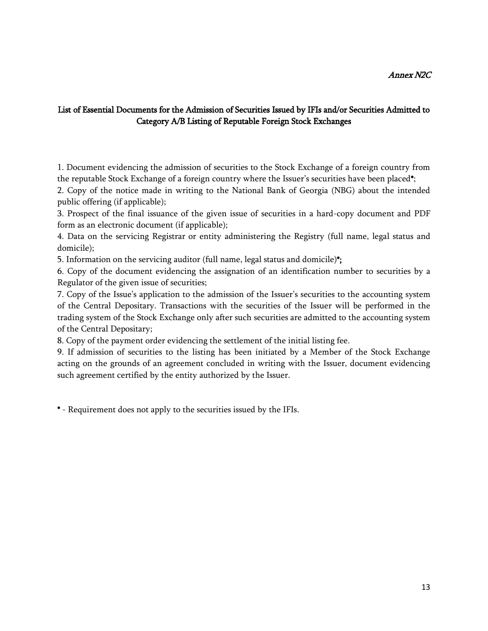#### Annex N2C

### List of Essential Documents for the Admission of Securities Issued by IFIs and/or Securities Admitted to Category A/B Listing of Reputable Foreign Stock Exchanges

1. Document evidencing the admission of securities to the Stock Exchange of a foreign country from the reputable Stock Exchange of a foreign country where the Issuer's securities have been placed\*;

2. Copy of the notice made in writing to the National Bank of Georgia (NBG) about the intended public offering (if applicable);

3. Prospect of the final issuance of the given issue of securities in a hard-copy document and PDF form as an electronic document (if applicable);

4. Data on the servicing Registrar or entity administering the Registry (full name, legal status and domicile);

5. Information on the servicing auditor (full name, legal status and domicile)\*;

6. Copy of the document evidencing the assignation of an identification number to securities by a Regulator of the given issue of securities;

7. Copy of the Issue's application to the admission of the Issuer's securities to the accounting system of the Central Depositary. Transactions with the securities of the Issuer will be performed in the trading system of the Stock Exchange only after such securities are admitted to the accounting system of the Central Depositary;

8. Copy of the payment order evidencing the settlement of the initial listing fee.

9. If admission of securities to the listing has been initiated by a Member of the Stock Exchange acting on the grounds of an agreement concluded in writing with the Issuer, document evidencing such agreement certified by the entity authorized by the Issuer.

\* - Requirement does not apply to the securities issued by the IFIs.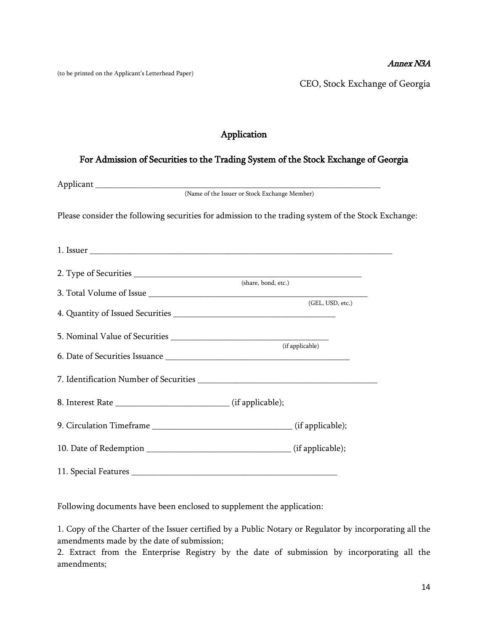#### Annex N3A

(to be printed on the Applicant's Letterhead Paper)

CEO, Stock Exchange of Georgia

## Application

### For Admission of Securities to the Trading System of the Stock Exchange of Georgia

| (Name of the Issuer or Stock Exchange Member)                                                       |  |
|-----------------------------------------------------------------------------------------------------|--|
| Please consider the following securities for admission to the trading system of the Stock Exchange: |  |
|                                                                                                     |  |
|                                                                                                     |  |
| (share, bond, etc.)                                                                                 |  |
| (GEL, USD, etc.)                                                                                    |  |
|                                                                                                     |  |
|                                                                                                     |  |
| (if applicable)                                                                                     |  |
|                                                                                                     |  |
|                                                                                                     |  |
|                                                                                                     |  |
|                                                                                                     |  |
|                                                                                                     |  |
|                                                                                                     |  |

Following documents have been enclosed to supplement the application:

1. Copy of the Charter of the Issuer certified by a Public Notary or Regulator by incorporating all the amendments made by the date of submission;

2. Extract from the Enterprise Registry by the date of submission by incorporating all the amendments;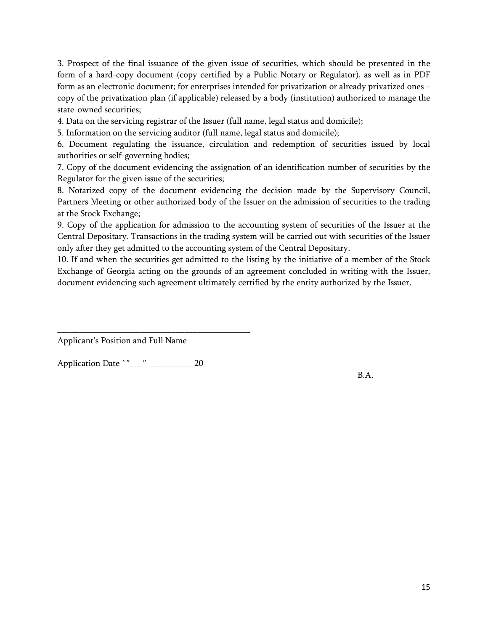3. Prospect of the final issuance of the given issue of securities, which should be presented in the form of a hard-copy document (copy certified by a Public Notary or Regulator), as well as in PDF form as an electronic document; for enterprises intended for privatization or already privatized ones – copy of the privatization plan (if applicable) released by a body (institution) authorized to manage the state-owned securities;

4. Data on the servicing registrar of the Issuer (full name, legal status and domicile);

5. Information on the servicing auditor (full name, legal status and domicile);

6. Document regulating the issuance, circulation and redemption of securities issued by local authorities or self-governing bodies;

7. Copy of the document evidencing the assignation of an identification number of securities by the Regulator for the given issue of the securities;

8. Notarized copy of the document evidencing the decision made by the Supervisory Council, Partners Meeting or other authorized body of the Issuer on the admission of securities to the trading at the Stock Exchange;

9. Copy of the application for admission to the accounting system of securities of the Issuer at the Central Depositary. Transactions in the trading system will be carried out with securities of the Issuer only after they get admitted to the accounting system of the Central Depositary.

10. If and when the securities get admitted to the listing by the initiative of a member of the Stock Exchange of Georgia acting on the grounds of an agreement concluded in writing with the Issuer, document evidencing such agreement ultimately certified by the entity authorized by the Issuer.

Applicant's Position and Full Name

Application Date `"\_\_\_" \_\_\_\_\_\_\_\_\_\_\_ 20

\_\_\_\_\_\_\_\_\_\_\_\_\_\_\_\_\_\_\_\_\_\_\_\_\_\_\_\_\_\_\_\_\_\_\_\_\_\_\_\_\_\_\_\_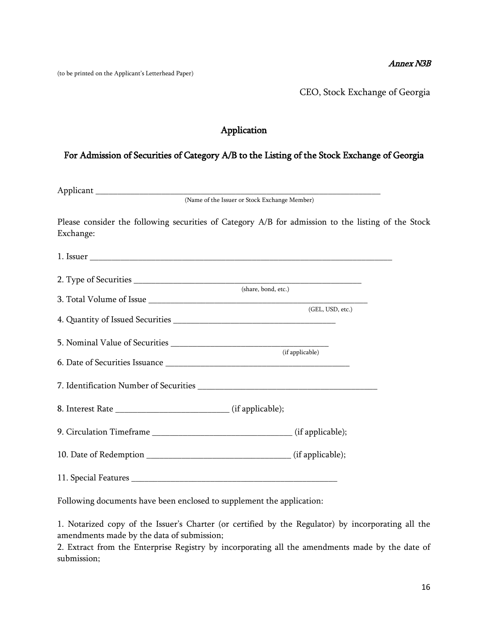#### Annex N3B

(to be printed on the Applicant's Letterhead Paper)

CEO, Stock Exchange of Georgia

## Application

### For Admission of Securities of Category A/B to the Listing of the Stock Exchange of Georgia

| Please consider the following securities of Category A/B for admission to the listing of the Stock<br>Exchange: |                     |  |
|-----------------------------------------------------------------------------------------------------------------|---------------------|--|
| 1. Issuer                                                                                                       |                     |  |
|                                                                                                                 |                     |  |
|                                                                                                                 | (share, bond, etc.) |  |
|                                                                                                                 | (GEL, USD, etc.)    |  |
|                                                                                                                 |                     |  |
|                                                                                                                 |                     |  |
|                                                                                                                 | (if applicable)     |  |
|                                                                                                                 |                     |  |
| 8. Interest Rate __________________________________ (if applicable);                                            |                     |  |
|                                                                                                                 |                     |  |
|                                                                                                                 |                     |  |
|                                                                                                                 |                     |  |

Following documents have been enclosed to supplement the application:

1. Notarized copy of the Issuer's Charter (or certified by the Regulator) by incorporating all the amendments made by the data of submission;

2. Extract from the Enterprise Registry by incorporating all the amendments made by the date of submission;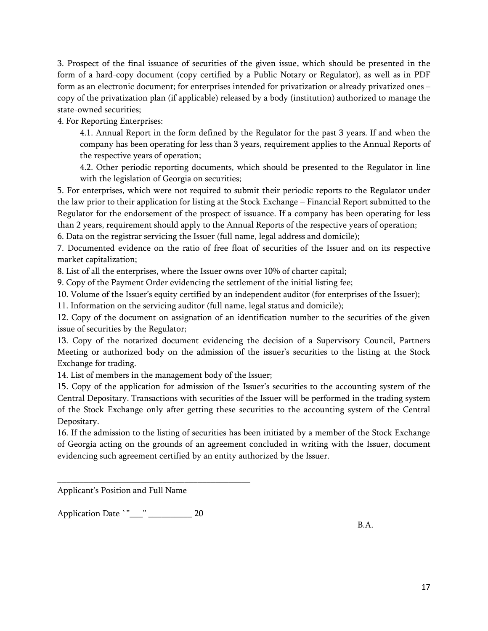3. Prospect of the final issuance of securities of the given issue, which should be presented in the form of a hard-copy document (copy certified by a Public Notary or Regulator), as well as in PDF form as an electronic document; for enterprises intended for privatization or already privatized ones – copy of the privatization plan (if applicable) released by a body (institution) authorized to manage the state-owned securities;

4. For Reporting Enterprises:

4.1. Annual Report in the form defined by the Regulator for the past 3 years. If and when the company has been operating for less than 3 years, requirement applies to the Annual Reports of the respective years of operation;

4.2. Other periodic reporting documents, which should be presented to the Regulator in line with the legislation of Georgia on securities;

5. For enterprises, which were not required to submit their periodic reports to the Regulator under the law prior to their application for listing at the Stock Exchange – Financial Report submitted to the Regulator for the endorsement of the prospect of issuance. If a company has been operating for less than 2 years, requirement should apply to the Annual Reports of the respective years of operation;

6. Data on the registrar servicing the Issuer (full name, legal address and domicile);

7. Documented evidence on the ratio of free float of securities of the Issuer and on its respective market capitalization;

8. List of all the enterprises, where the Issuer owns over 10% of charter capital;

9. Copy of the Payment Order evidencing the settlement of the initial listing fee;

10. Volume of the Issuer's equity certified by an independent auditor (for enterprises of the Issuer);

11. Information on the servicing auditor (full name, legal status and domicile);

12. Copy of the document on assignation of an identification number to the securities of the given issue of securities by the Regulator;

13. Copy of the notarized document evidencing the decision of a Supervisory Council, Partners Meeting or authorized body on the admission of the issuer's securities to the listing at the Stock Exchange for trading.

14. List of members in the management body of the Issuer;

15. Copy of the application for admission of the Issuer's securities to the accounting system of the Central Depositary. Transactions with securities of the Issuer will be performed in the trading system of the Stock Exchange only after getting these securities to the accounting system of the Central Depositary.

16. If the admission to the listing of securities has been initiated by a member of the Stock Exchange of Georgia acting on the grounds of an agreement concluded in writing with the Issuer, document evidencing such agreement certified by an entity authorized by the Issuer.

Applicant's Position and Full Name

Application Date `"\_\_\_" \_\_\_\_\_\_\_\_\_ 20

\_\_\_\_\_\_\_\_\_\_\_\_\_\_\_\_\_\_\_\_\_\_\_\_\_\_\_\_\_\_\_\_\_\_\_\_\_\_\_\_\_\_\_\_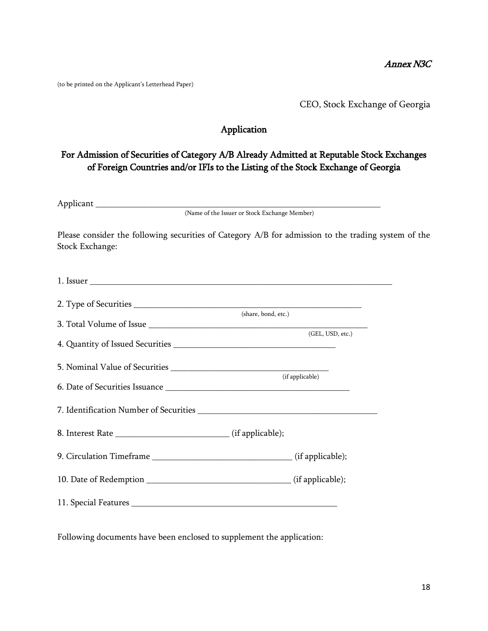(to be printed on the Applicant's Letterhead Paper)

CEO, Stock Exchange of Georgia

### Application

## For Admission of Securities of Category A/B Already Admitted at Reputable Stock Exchanges of Foreign Countries and/or IFIs to the Listing of the Stock Exchange of Georgia

Applicant \_\_\_\_\_\_\_\_\_\_\_\_\_\_\_\_\_\_\_\_\_\_\_\_\_\_\_\_\_\_\_\_\_\_\_\_\_\_\_\_\_\_\_\_\_\_\_\_\_\_\_\_\_\_\_\_\_\_\_\_\_\_\_\_\_

(Name of the Issuer or Stock Exchange Member)

Please consider the following securities of Category A/B for admission to the trading system of the Stock Exchange:

|                      | (share, bond, etc.)<br>(GEL, USD, etc.) |
|----------------------|-----------------------------------------|
|                      |                                         |
|                      | (if applicable)                         |
|                      |                                         |
|                      |                                         |
|                      |                                         |
|                      |                                         |
|                      |                                         |
| 11. Special Features |                                         |

Following documents have been enclosed to supplement the application: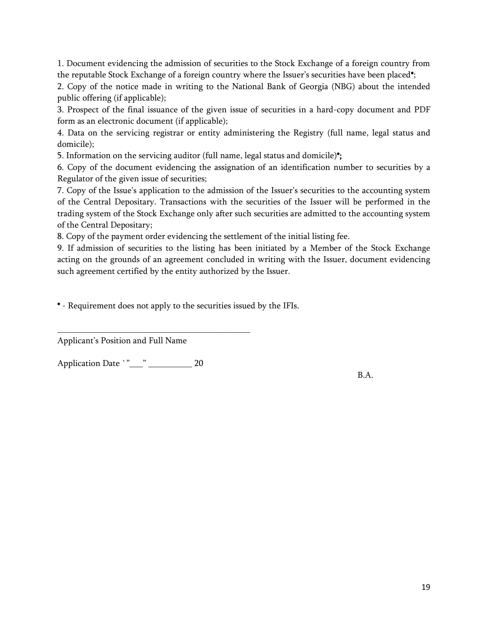1. Document evidencing the admission of securities to the Stock Exchange of a foreign country from the reputable Stock Exchange of a foreign country where the Issuer's securities have been placed\*;

2. Copy of the notice made in writing to the National Bank of Georgia (NBG) about the intended public offering (if applicable);

3. Prospect of the final issuance of the given issue of securities in a hard-copy document and PDF form as an electronic document (if applicable);

4. Data on the servicing registrar or entity administering the Registry (full name, legal status and domicile);

5. Information on the servicing auditor (full name, legal status and domicile)\*;

6. Copy of the document evidencing the assignation of an identification number to securities by a Regulator of the given issue of securities;

7. Copy of the Issue's application to the admission of the Issuer's securities to the accounting system of the Central Depositary. Transactions with the securities of the Issuer will be performed in the trading system of the Stock Exchange only after such securities are admitted to the accounting system of the Central Depositary;

8. Copy of the payment order evidencing the settlement of the initial listing fee.

9. If admission of securities to the listing has been initiated by a Member of the Stock Exchange acting on the grounds of an agreement concluded in writing with the Issuer, document evidencing such agreement certified by the entity authorized by the Issuer.

\* - Requirement does not apply to the securities issued by the IFIs.

Applicant's Position and Full Name

Application Date `"\_\_\_" \_\_\_\_\_\_\_\_\_\_ 20

\_\_\_\_\_\_\_\_\_\_\_\_\_\_\_\_\_\_\_\_\_\_\_\_\_\_\_\_\_\_\_\_\_\_\_\_\_\_\_\_\_\_\_\_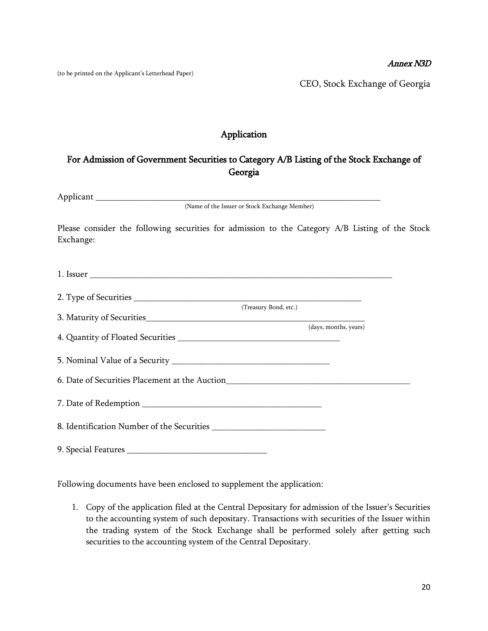#### Annex N3D

(to be printed on the Applicant's Letterhead Paper)

CEO, Stock Exchange of Georgia

## Application

## For Admission of Government Securities to Category A/B Listing of the Stock Exchange of Georgia

Applicant \_\_\_\_\_\_\_\_\_\_\_\_\_\_\_\_\_\_\_\_\_\_\_\_\_\_\_\_\_\_\_\_\_\_\_\_\_\_\_\_\_\_\_\_\_\_\_\_\_\_\_\_\_\_\_\_\_\_\_\_\_\_\_\_\_

(Name of the Issuer or Stock Exchange Member)

Please consider the following securities for admission to the Category A/B Listing of the Stock Exchange:

|                                                                                  | (Treasury Bond, etc.) |  |
|----------------------------------------------------------------------------------|-----------------------|--|
|                                                                                  |                       |  |
|                                                                                  | (days, months, years) |  |
|                                                                                  |                       |  |
|                                                                                  |                       |  |
|                                                                                  |                       |  |
|                                                                                  |                       |  |
| 6. Date of Securities Placement at the Auction__________________________________ |                       |  |
|                                                                                  |                       |  |
|                                                                                  |                       |  |
|                                                                                  |                       |  |
|                                                                                  |                       |  |
|                                                                                  |                       |  |
|                                                                                  |                       |  |
|                                                                                  |                       |  |

Following documents have been enclosed to supplement the application:

1. Copy of the application filed at the Central Depositary for admission of the Issuer's Securities to the accounting system of such depositary. Transactions with securities of the Issuer within the trading system of the Stock Exchange shall be performed solely after getting such securities to the accounting system of the Central Depositary.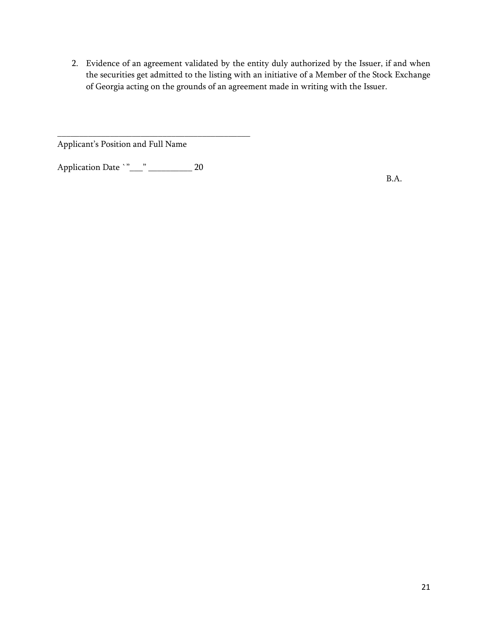2. Evidence of an agreement validated by the entity duly authorized by the Issuer, if and when the securities get admitted to the listing with an initiative of a Member of the Stock Exchange of Georgia acting on the grounds of an agreement made in writing with the Issuer.

Applicant's Position and Full Name

Application Date `"\_\_\_" \_\_\_\_\_\_\_\_\_\_\_ 20

\_\_\_\_\_\_\_\_\_\_\_\_\_\_\_\_\_\_\_\_\_\_\_\_\_\_\_\_\_\_\_\_\_\_\_\_\_\_\_\_\_\_\_\_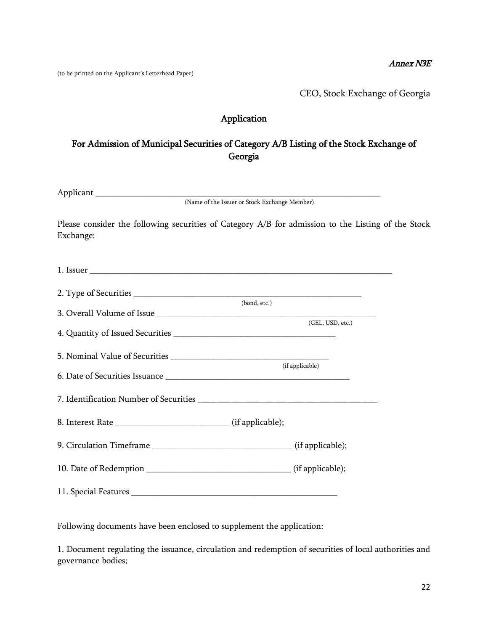#### Annex N3E

(to be printed on the Applicant's Letterhead Paper)

CEO, Stock Exchange of Georgia

## Application

## For Admission of Municipal Securities of Category A/B Listing of the Stock Exchange of Georgia

| Ann |                                               |  |
|-----|-----------------------------------------------|--|
|     | (Name of the Issuer or Stock Exchange Member) |  |

Please consider the following securities of Category A/B for admission to the Listing of the Stock Exchange:

|  | (bond, etc.)     |  |
|--|------------------|--|
|  | (GEL, USD, etc.) |  |
|  | (if applicable)  |  |
|  |                  |  |
|  |                  |  |
|  |                  |  |
|  |                  |  |
|  |                  |  |
|  |                  |  |

Following documents have been enclosed to supplement the application:

1. Document regulating the issuance, circulation and redemption of securities of local authorities and governance bodies;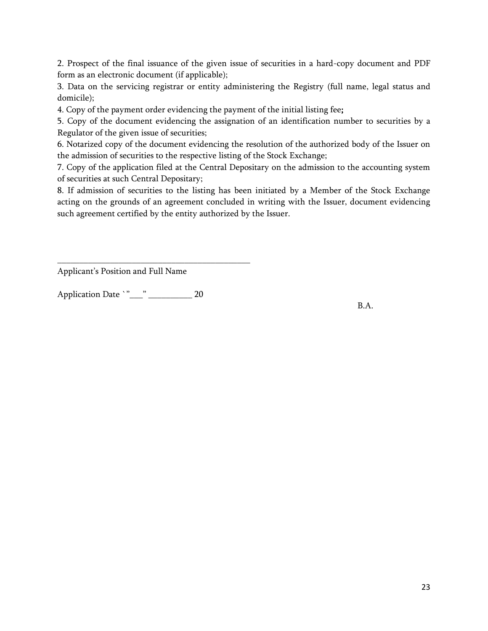2. Prospect of the final issuance of the given issue of securities in a hard-copy document and PDF form as an electronic document (if applicable);

3. Data on the servicing registrar or entity administering the Registry (full name, legal status and domicile);

4. Copy of the payment order evidencing the payment of the initial listing fee;

5. Copy of the document evidencing the assignation of an identification number to securities by a Regulator of the given issue of securities;

6. Notarized copy of the document evidencing the resolution of the authorized body of the Issuer on the admission of securities to the respective listing of the Stock Exchange;

7. Copy of the application filed at the Central Depositary on the admission to the accounting system of securities at such Central Depositary;

8. If admission of securities to the listing has been initiated by a Member of the Stock Exchange acting on the grounds of an agreement concluded in writing with the Issuer, document evidencing such agreement certified by the entity authorized by the Issuer.

Applicant's Position and Full Name

Application Date `"\_\_\_" \_\_\_\_\_\_\_\_\_\_ 20

\_\_\_\_\_\_\_\_\_\_\_\_\_\_\_\_\_\_\_\_\_\_\_\_\_\_\_\_\_\_\_\_\_\_\_\_\_\_\_\_\_\_\_\_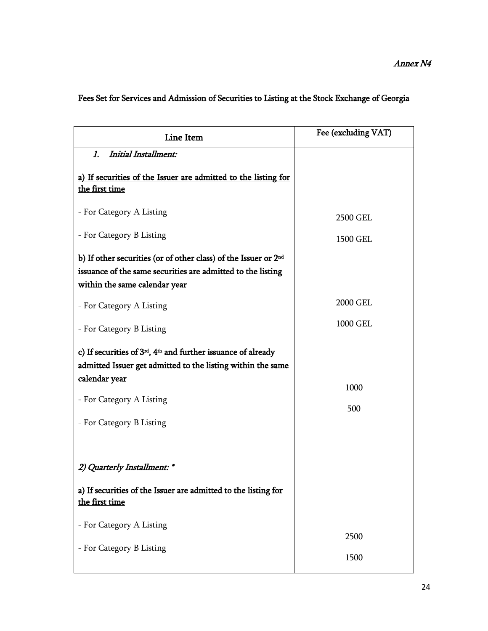| Line Item                                                                                                                                                                   | Fee (excluding VAT) |
|-----------------------------------------------------------------------------------------------------------------------------------------------------------------------------|---------------------|
| 1. Initial Installment:                                                                                                                                                     |                     |
| a) If securities of the Issuer are admitted to the listing for<br>the first time                                                                                            |                     |
| - For Category A Listing                                                                                                                                                    | 2500 GEL            |
| - For Category B Listing                                                                                                                                                    | 1500 GEL            |
| b) If other securities (or of other class) of the Issuer or 2 <sup>nd</sup><br>issuance of the same securities are admitted to the listing<br>within the same calendar year |                     |
| - For Category A Listing                                                                                                                                                    | 2000 GEL            |
| - For Category B Listing                                                                                                                                                    | 1000 GEL            |
| c) If securities of $3rd$ , $4th$ and further issuance of already<br>admitted Issuer get admitted to the listing within the same                                            |                     |
| calendar year                                                                                                                                                               | 1000                |
| - For Category A Listing                                                                                                                                                    | 500                 |
| - For Category B Listing                                                                                                                                                    |                     |
|                                                                                                                                                                             |                     |
| 2) Quarterly Installment: *                                                                                                                                                 |                     |
| a) If securities of the Issuer are admitted to the listing for<br>the first time                                                                                            |                     |
| - For Category A Listing                                                                                                                                                    |                     |
| - For Category B Listing                                                                                                                                                    | 2500                |
|                                                                                                                                                                             | 1500                |

# Fees Set for Services and Admission of Securities to Listing at the Stock Exchange of Georgia